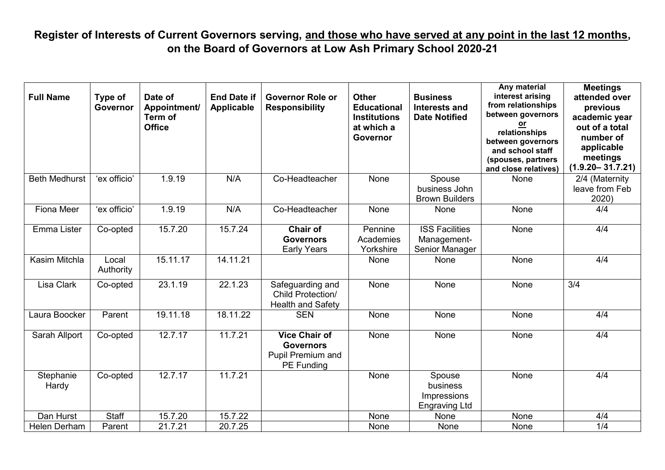# **Register of Interests of Current Governors serving, and those who have served at any point in the last 12 months, on the Board of Governors at Low Ash Primary School 2020-21**

| <b>Full Name</b>     | Type of<br>Governor | Date of<br>Appointment/<br>Term of<br><b>Office</b> | <b>End Date if</b><br><b>Applicable</b> | <b>Governor Role or</b><br><b>Responsibility</b>                                   | <b>Other</b><br><b>Educational</b><br><b>Institutions</b><br>at which a<br>Governor | <b>Business</b><br><b>Interests and</b><br><b>Date Notified</b> | Any material<br>interest arising<br>from relationships<br>between governors<br><u>or</u><br>relationships<br>between governors<br>and school staff<br>(spouses, partners<br>and close relatives) | <b>Meetings</b><br>attended over<br>previous<br>academic year<br>out of a total<br>number of<br>applicable<br>meetings<br>$(1.9.20 - 31.7.21)$ |
|----------------------|---------------------|-----------------------------------------------------|-----------------------------------------|------------------------------------------------------------------------------------|-------------------------------------------------------------------------------------|-----------------------------------------------------------------|--------------------------------------------------------------------------------------------------------------------------------------------------------------------------------------------------|------------------------------------------------------------------------------------------------------------------------------------------------|
| <b>Beth Medhurst</b> | 'ex officio'        | 1.9.19                                              | N/A                                     | Co-Headteacher                                                                     | None                                                                                | Spouse<br>business John<br><b>Brown Builders</b>                | <b>None</b>                                                                                                                                                                                      | 2/4 (Maternity<br>leave from Feb<br>2020)                                                                                                      |
| <b>Fiona Meer</b>    | 'ex officio'        | 1.9.19                                              | N/A                                     | Co-Headteacher                                                                     | <b>None</b>                                                                         | None                                                            | <b>None</b>                                                                                                                                                                                      | 4/4                                                                                                                                            |
| Emma Lister          | Co-opted            | 15.7.20                                             | 15.7.24                                 | Chair of<br><b>Governors</b><br><b>Early Years</b>                                 | Pennine<br>Academies<br>Yorkshire                                                   | <b>ISS Facilities</b><br>Management-<br>Senior Manager          | None                                                                                                                                                                                             | 4/4                                                                                                                                            |
| Kasim Mitchla        | Local<br>Authority  | 15.11.17                                            | 14.11.21                                |                                                                                    | None                                                                                | None                                                            | None                                                                                                                                                                                             | 4/4                                                                                                                                            |
| Lisa Clark           | Co-opted            | 23.1.19                                             | 22.1.23                                 | Safeguarding and<br><b>Child Protection/</b><br><b>Health and Safety</b>           | None                                                                                | None                                                            | None                                                                                                                                                                                             | 3/4                                                                                                                                            |
| Laura Boocker        | Parent              | 19.11.18                                            | 18.11.22                                | <b>SEN</b>                                                                         | None                                                                                | None                                                            | None                                                                                                                                                                                             | 4/4                                                                                                                                            |
| Sarah Allport        | Co-opted            | 12.7.17                                             | 11.7.21                                 | <b>Vice Chair of</b><br><b>Governors</b><br>Pupil Premium and<br><b>PE Funding</b> | <b>None</b>                                                                         | None                                                            | <b>None</b>                                                                                                                                                                                      | 4/4                                                                                                                                            |
| Stephanie<br>Hardy   | Co-opted            | 12.7.17                                             | 11.7.21                                 |                                                                                    | None                                                                                | Spouse<br>business<br>Impressions<br><b>Engraving Ltd</b>       | <b>None</b>                                                                                                                                                                                      | 4/4                                                                                                                                            |
| Dan Hurst            | <b>Staff</b>        | 15.7.20                                             | 15.7.22                                 |                                                                                    | None                                                                                | None                                                            | None                                                                                                                                                                                             | 4/4                                                                                                                                            |
| Helen Derham         | Parent              | 21.7.21                                             | 20.7.25                                 |                                                                                    | None                                                                                | None                                                            | None                                                                                                                                                                                             | 1/4                                                                                                                                            |